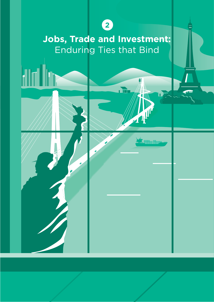# **2**

*2 - Jobs, Trade and Investment: Enduring Ties that Bind*

## **Jobs, Trade and Investment:** Enduring Ties that Bind

 $\blacksquare$ 

 $\frac{1}{4}$ 



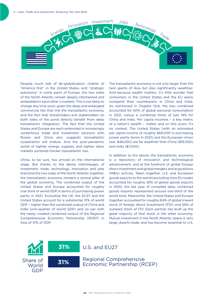

Despite much talk of de-globalization, chatter of "America first" in the United States, and "strategic autonomy" in some parts of Europe, the two sides of the North Atlantic remain deeply intertwined and embedded in each other's markets. This is not likely to change any time soon, given the deep and entangled commercial ties that link the transatlantic economy, and the fact that shareholders and stakeholders on both sides of the pond directly benefit from deep transatlantic integration. The fact that the United States and Europe are each embroiled in increasingly contentious trade and investment tensions with Russia and China also suggests transatlantic cooperation will endure. And the post-pandemic world of tighter energy supplies and tighter labor markets portends thicker transatlantic ties.

China, to be sure, has arrived on the international stage. But thanks to the dense interlinkages of investment, trade, technology, innovation and jobs that bind the two sides of the North Atlantic together, the transatlantic economy remains a central pillar of the global economy. The combined output of the United States and Europe accounted for roughly one-third of world GDP in terms of purchasing power parity in 2021. Excluding the UK, the EU27 and the United States account for a substantial 31% of world GDP – higher than the combined output of China and India (one-quarter of world GDP) and on par with the newly created combined output of the Regional Comprehensive Economic Partnership (RCEP) in Asia of 31% of GDP.

**31%** 

**31%**

The transatlantic economy is not only larger than the twin giants of Asia but also significantly wealthier. And because wealth matters, it's little wonder that consumers in the United States and the EU easily outspend their counterparts in China and India. As mentioned in Chapter One, the two combined accounted for 50% of global personal consumption in 2021, versus a combined share of just 14% for China and India. Per capita incomes – a key metric of a nation's wealth – matter and on this score, it's no contest. The United States (with an estimated per capita income of roughly \$69,000 in purchasing power parity terms in 2021) and the European Union (est. \$48,000) are far wealthier than China (\$19,000) and India (\$7,000).

In addition to the above, the transatlantic economy is a repository of innovation and technological advancement, and at the forefront of global foreign direct investment and global mergers and acquisitions (M&A) activity. Taken together, U.S. and European goods exports to the world (excluding intra-EU trade) accounted for roughly 26% of global goods exports in 2020, the last year of complete data; combined goods imports represented around one-third of the world total. Meanwhile, the United States and Europe together accounted for roughly 64% of global inward stock of foreign direct investment (FDI) and 65% of outward stock of FDI. Each partner has built up the great majority of that stock in the other economy. Mutual investment in the North Atlantic space is very large, dwarfs trade, and has become essential to U.S.



U.S. and EU27

Regional Comprehensive Economic Partnership (RCEP)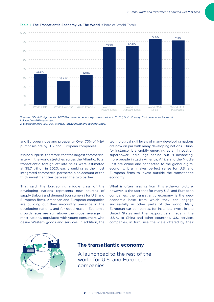

#### Table 1 The Transatlantic Economy vs. The World (Share of World Total)

*Sources: UN, IMF, figures for 2020.Transatlantic economy measured as U.S., EU, U.K., Norway, Switzerland and Iceland. 1. Based on PPP estimates.* 

*2. Excluding intra-EU, U.K., Norway, Switzerland and Iceland trade.*

and European jobs and prosperity. Over 70% of M&A purchases are by U.S. and European companies.

It is no surprise, therefore, that the largest commercial artery in the world stretches across the Atlantic. Total transatlantic foreign affiliate sales were estimated at \$5.7 trillion in 2020, easily ranking as the most integrated commercial partnership on account of the thick investment ties between the two parties.

That said, the burgeoning middle class of the developing nations represents new sources of supply (labor) and demand (consumers) for U.S. and European firms. American and European companies are building out their in-country presence in the developing nations, and for good reason. Economic growth rates are still above the global average in most nations, populated with young consumers who desire Western goods and services. In addition, the

technological skill levels of many developing nations are now on par with many developing nations. China, for instance, is a rapidly emerging as an innovation superpower; India lags behind but is advancing; more people in Latin America, Africa and the Middle East are online and connected to the global digital economy. It all makes perfect sense for U.S. and European firms to invest outside the transatlantic economy.

What is often missing from this either/or picture, however, is the fact that for many U.S. and European companies, the transatlantic economy is the geoeconomic base from which they can engage successfully in other parts of the world. Many European car companies, for instance, invest in the United States and then export cars made in the U.S.A. to China and other countries. U.S. services companies, in turn, use the scale offered by their



## **The transatlantic economy**

A launchpad to the rest of the world for U.S. and European companies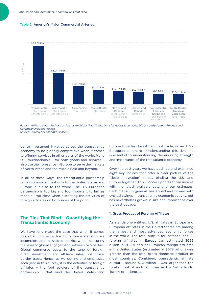

#### Table 2 America's Major Commercial Arteries

*Foreign Affiliate Sales: Author's estimates for 2020. Total Trade: Data for goods & services, 2020. South/Central America and Caribbean includes Mexico. Source: Bureau of Economic Analysis.*

dense investment linkages across the transatlantic economy to be globally competitive when it comes to offering services in other parts of the world. Many U.S. multinationals – for both goods and services – also use their presence in Europe to serve the markets of North Africa and the Middle East and beyond.

In all of these ways, the transatlantic partnership remains important not only to the United States and Europe, but also to the world. The U.S.-European partnership is too big and too important to fail, as made all too clear when dissecting the activities of foreign affiliates on both sides of the pond.

### **The Ties That Bind – Quantifying the Transatlantic Economy**

We have long made the case that when it comes to global commerce, traditional trade statistics are incomplete and misguided metrics when measuring the level of global engagement between two parties. Global commerce beats to the tune of foreign direct investment and affiliate sales, not crossborder trade. Hence, as we outline and emphasize each year in this survey, it is the activities of foreign affiliates – the foot soldiers of the transatlantic partnership – that bind the United States and Europe together. Investment, not trade, drives U.S.- European commerce. Understanding this dynamic is essential to understanding the enduring strength and importance of the transatlantic economy.

Over the past years we have outlined and examined eight key indices that offer a clear picture of the "deep integration" forces binding the U.S. and Europe together. This chapter updates those indices with the latest available data and our estimates. Each metric, in general, has ebbed and flowed with cyclical swings in transatlantic economic activity, but has nevertheless grown in size and importance over the past decade.

#### **1. Gross Product of Foreign Affiliates**

As standalone entities, U.S. affiliates in Europe and European affiliates in the United States are among the largest and most advanced economic forces in the world. The total output, for instance, of U.S. foreign affiliates in Europe (an estimated \$655 billion in 2020) and of European foreign affiliates in the United States (estimated at \$678 billion) was greater than the total gross domestic product of most countries. Combined, transatlantic affiliate output – around \$1.3 trillion – was larger than the total output of such countries as the Netherlands, Turkey or Indonesia.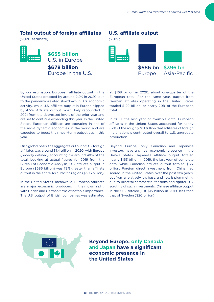## **Total output of foreign affiliates**

(2020 estimate)



**\$678 billion**  Europe in the U.S. **\$655 billion** U.S. in Europe

## **U.S. affiliate output**





By our estimation, European affiliate output in the United States dropped by around 2.2% in 2020, due to the pandemic-related slowdown in U.S. economic activity, while U.S. affiliate output in Europe slipped by 4.5%. Affiliate output most likely rebounded in 2021 from the depressed levels of the prior year and are set to continue expanding this year. In the United States, European affiliates are operating in one of the most dynamic economies in the world and are expected to boost their near-term output again this year.

On a global basis, the aggregate output of U.S. foreign affiliates was around \$1.4 trillion in 2020, with Europe (broadly defined) accounting for around 48% of the total. Looking at actual figures for 2019 from the Bureau of Economic Analysis, U.S. affiliate output in Europe (\$686 billion) was 73% greater than affiliate output in the entire Asia-Pacific region (\$396 billion).

In the United States, meanwhile, European affiliates are major economic producers in their own right, with British and German firms of notable importance. The U.S. output of British companies was estimated

at \$168 billion in 2020, about one-quarter of the European total. For the same year, output from German affiliates operating in the United States totaled \$129 billion, or nearly 20% of the European total.

In 2019, the last year of available data, European affiliates in the United States accounted for nearly 62% of the roughly \$1.1 trillion that affiliates of foreign multinationals contributed overall to U.S. aggregate production.

Beyond Europe, only Canadian and Japanese investors have any real economic presence in the United States. Japanese affiliate output totaled nearly \$163 billion in 2019, the last year of complete data, while Canadian affiliate output totaled \$127 billion. Foreign direct investment from China had soared in the United States over the past few years, but from a relatively low base, and now is plummeting due to bilateral commercial tensions and tighter U.S. scrutiny of such investments. Chinese affiliate output in the U.S. totaled just \$15 billion in 2019, less than that of Sweden (\$20 billion).



**Beyond Europe, only Canada and Japan have a significant economic presence in the United States**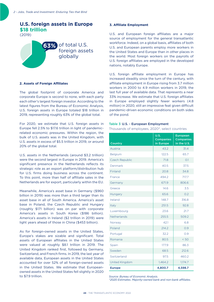## **U.S. foreign assets in Europe \$18 trillion**  (2019)



#### **2. Assets of Foreign Affiliates**

The global footprint of corporate America and corporate Europe is second to none, with each party each other's largest foreign investor. According to the latest figures from the Bureau of Economic Analysis, U.S. foreign assets in Europe totaled \$18 trillion in 2019, representing roughly 63% of the global total.

For 2020, we estimate that U.S. foreign assets in Europe fell 2.5% to \$17.6 trillion in light of pandemicrelated economic pressures. Within the region, the bulk of U.S. assets was in the United Kingdom, with U.S. assets in excess of \$5.5 trillion in 2019, or around 20% of the global total.

U.S. assets in the Netherlands (around \$3.2 trillion) were the second largest in Europe in 2019. America's significant presence in the Netherlands reflects its strategic role as an export platform/distribution hub for U.S. firms doing business across the continent. To this point, more than half of affiliate sales in the Netherlands are for export, particularly within the EU.

Meanwhile, America's asset base in Germany (\$960 billion in 2019) was more than a third larger than its asset base in all of South America. America's asset base in Poland, the Czech Republic and Hungary (roughly \$171 billion) was on par with corporate America's assets in South Korea (\$186 billion). America's assets in Ireland (\$2 trillion in 2019) were light years ahead of those in China (\$453 billion).

As for foreign-owned assets in the United States, Europe's stakes are sizable and significant. Total assets of European affiliates in the United States were valued at roughly \$8.1 trillion in 2019. The United Kingdom ranked first, followed by Germany, Switzerland, and French firms. In 2019, the last year of available data, European assets in the United States accounted for over 52% of all foreign-owned assets in the United States. We estimate that Europeanowned assets in the United States fell slightly in 2020 to \$7.9 trillion.

#### **3. Affiliate Employment**

U.S. and European foreign affiliates are a major source of employment for the general transatlantic workforce. Indeed, on a global basis, affiliates of both U.S. and European parents employ more workers in the United States and Europe than in other places in the world. Most foreign workers on the payrolls of U.S. foreign affiliates are employed in the developed nations, notably Europe.

U.S. foreign affiliate employment in Europe has increased steadily since the turn of the century, with affiliate employment in Europe rising from 3.7 million workers in 2000 to 4.9 million workers in 2019, the last full year of available data. That represents a near 33% increase. We estimate that U.S. foreign affiliates in Europe employed slightly fewer workers (4.8 million) in 2020, still an impressive feat given difficult pandemic-driven economic conditions on both sides of the pond.

#### Table 3 U.S. - European Employment

Thousands of employees, 2020\*, select countries

|                       | U.S.             | <b>European</b>  |
|-----------------------|------------------|------------------|
|                       | <b>Companies</b> | <b>Companies</b> |
| Country               | in Europe        | in the U.S.      |
| Austria               | 43.2             | 31.4             |
| Belgium               | 122.5            | 65.7             |
| <b>Czech Republic</b> | 71.8             | O.1              |
| Denmark               | 40.5             | 37.5             |
| Finland               | 20.8             | 34.8             |
| France                | 494.2            | 717.7            |
| Germany               | 671.9            | 806.6            |
| Greece                | 14.6             | 3.5              |
| Hungary               | 65.6             | 0.2              |
| Ireland               | 148.7            | 316.8            |
| Italy                 | 251.5            | 92.8             |
| Luxembourg            | 23.6             | 21.7             |
| <b>Netherlands</b>    | 255.5            | 509.2            |
| Norway                | 42.1             | 6.8              |
| Poland                | 214.2            | 0.9              |
| Portugal              | 32.2             | 0.9              |
| Romania               | 80.5             | < 50             |
| Spain                 | 177.9            | 86.3             |
| Sweden                | 68.5             | 212.6            |
| Switzerland           | 97.5             | 460.2            |
| United Kingdom        | 1,464.2          | 1,174.7          |
| <b>Europe</b>         | 4,800.7          | 4,598.7          |

*Source: Bureau of Economic Analysis.* 

*\*2020 Estimates. Majority-owned bank and non-bank affiliates.*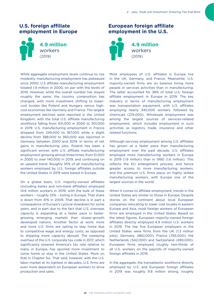## **U.S. foreign affiliate employment in Europe**



**4.9 million** workers

## **European foreign affiliate employment in the U.S.**



**4.9 million** workers (2019)

While aggregate employment levels continue to rise modestly, manufacturing employment has plateaued since 2000. U.S affiliate manufacturing employment totaled 1.9 million in 2000, on par with the levels of 2019. However, while the overall number has stayed roughly the same, the country composition has changed, with more investment shifting to lowercost locales like Poland and Hungary versus highcost economies like Germany and France. The largest employment declines were reported in the United Kingdom, with the total U.S. affiliate manufacturing workforce falling from 431,000 in 2000 to 301,000 in 2019. U.S. manufacturing employment in France dropped from 249,000 to 187,000 while a slight decline from 388,000 to 360,000 was reported in Germany between 2000 and 2019. In terms of net gains in manufacturing jobs, Poland has been a significant winner, with U.S. affiliate manufacturing employment growing almost three times, from 51,000 in 2000 to over 140,000 in 2019, and continuing on an upward trend. Roughly 35% of all manufacturing workers employed by U.S. foreign affiliates outside the United States in 2019 were based in Europe.

On a global basis, U.S. majority-owned affiliates (including banks and non-bank affiliates) employed 14.6 million workers in 2019, with the bulk of these workers – roughly 33% – toiling in Europe. That share is down from 41% in 2009. That decline is in part a consequence of Europe's cyclical slowdown for some years, and in part due to the fact that U.S. overseas capacity is expanding at a faster pace in fastergrowing emerging markets than slower-growth developed nations. Another factor at work: more and more U.S. firms are opting to stay home due to competitive wage and energy costs, as opposed to shipping more capacity abroad. The sweeping overhaul of the U.S. corporate tax code in 2017, which significantly lowered America's tax rate relative to many in Europe, has spurred more investment to come home or stay in the United States. More on that in Chapter Six. That said, however, with the U.S. labor market at its tightest in decades, U.S. firms are even more dependent on European workers to drive production and sales.

Most employees of U.S. affiliates in Europe live in the UK, Germany, and France. Meanwhile, U.S. majority-owned firms are on balance hiring more people in services activities than in manufacturing. The latter accounted for 38% of total U.S. foreign affiliate employment in Europe in 2019. The key industry in terms of manufacturing employment was transportation equipment, with U.S. affiliates employing nearly 340,000 workers, followed by chemicals (274,000). Wholesale employment was among the largest sources of services-related employment, which includes employment in such activities as logistics, trade, insurance and other related functions.

Although services employment among U.S. affiliates has grown at a faster pace than manufacturing employment over the past decade, U.S. affiliates employed more manufacturing workers in Europe in 2019 (1.9 million) than in 1990 (1.6 million). This reflects the EU enlargement process, and hence greater access to more manufacturing workers, and the premium U.S. firms place on highly skilled manufacturing workers, with Europe one of the largest sources in the world.

When it comes to affiliate employment, trends in the United States are similar to those in Europe. Despite stories on the continent about local European companies relocating to lower cost locales in eastern Europe and Asia, most foreign workers of European firms are employed in the United States. Based on the latest figures, European majority-owned foreign affiliates directly employed 4.9 million U.S. workers in 2019. The top five European employers in the United States were firms from the UK (1.3 million jobs), Germany (860,000), France (765,000), the Netherlands (542,000) and Switzerland (490,000). European firms employed roughly two-thirds of all U.S. workers on the payrolls of majority-owned foreign affiliates in 2019.

In the aggregate, the transatlantic workforce directly employed by U.S. and European foreign affiliates in 2019 was roughly 9.8 million strong, roughly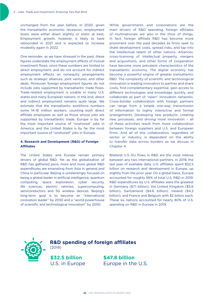unchanged from the year before. In 2020, given the transatlantic economic recession, employment levels were either down slightly or static at best. Employment growth, however, is likely to have rebounded in 2021 and is expected to increase modestly again in 2022.

One reminder: as we have stressed in the past, these figures understate the employment effects of mutual investment flows, since these numbers are limited to direct employment, and do not account for indirect employment effects on nonequity arrangements such as strategic alliances, joint ventures, and other deals. Moreover, foreign employment figures do not include jobs supported by transatlantic trade flows. Trade-related employment is sizable in many U.S. states and many European nations. In the end, direct and indirect employment remains quite large. We estimate that the transatlantic workforce numbers some 14-16 million workers, counting both direct affiliate employees as well as those whose jobs are supported by transatlantic trade. Europe is by far the most important source of "onshored" jobs in America, and the United States is by far the most important source of "onshored" jobs in Europe.

#### **4. Research and Development (R&D) of Foreign Affiliates**

The United States and Europe remain primary drivers of global R&D. Yet as the globalization of R&D has gathered pace, more and more global R&D expenditures are emanating from Asia in general and China in particular. Beijing is unrelentingly focused on being a global leader in artificial intelligence, quantum computing, space exploration, cyber security, life sciences, electric vehicles, supercomputing, semiconductors and 5G wireless devices. Beijing's long-term goal is to become an "international innovation leader" by 2030 and a "world powerhouse of scientific and technological innovation" by 2050.

While governments and corporations are the main drivers of R&D spending, foreign affiliates of multinationals are also in the thick of things. In fact, foreign affiliate R&D has become more prominent over the past decades as firms seek to share development costs, spread risks, and tap into the intellectual talent of other nations. Alliances, cross-licensing of intellectual property, mergers and acquisitions, and other forms of cooperation have become more prevalent characteristics of the transatlantic economy. The digital economy has become a powerful engine of greater transatlantic R&D. The complexity of scientific and technological innovation is leading innovators to partner and share costs, find complementary expertise, gain access to different technologies and knowledge quickly, and collaborate as part of "open" innovation networks. Cross-border collaboration with foreign partners can range from a simple one-way transmission of information to highly interactive and formal arrangements. Developing new products, creating new processes, and driving more innovation – all of these activities result from more collaboration between foreign suppliers and U.S. and European firms. And all of this collaboration, regardless of sector or industry, is dependent on the ability to transfer data across borders as we discuss in Chapter 4.

Bilateral U.S.-EU flows in R&D are the most intense between any two international partners. In 2019, the last year of available data, U.S. affiliates spent \$32.5 billion on research and development in Europe, up slightly from the prior year. On a global basis, Europe accounted for roughly 56% of total U.S. R&D in 2019. R&D expenditures by U.S. affiliates were the greatest in Germany (\$7.1 billion), the United Kingdom (\$5.6 billion), Switzerland (\$4.6 billion), Ireland (\$4.2 billion), and France and Belgium with \$2 billion each. These six nations accounted for nearly 80% of U.S. spending on R&D in Europe in 2019.



**R&D spending of foreign affiliates** (2019)

**\$32.5 billion**  U.S. in Europe

**\$47.8 billion**  Europe in the U.S.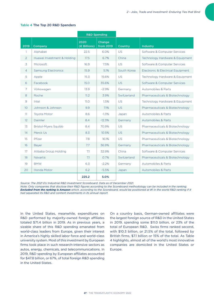#### Table 4 The Top 20 R&D Spenders

|      |                             |                      | <b>R&amp;D Spending</b> |             |                                   |
|------|-----------------------------|----------------------|-------------------------|-------------|-----------------------------------|
| 2019 | Company                     | 2020<br>(€ Billions) | Change<br>from 2019     | Country     | <b>Industry</b>                   |
| -1   | Alphabet                    | 22.5                 | 6.0%                    | <b>US</b>   | Software & Computer Services      |
| 2    | Huawei Investment & Holding | 17.5                 | 6.7%                    | China       | Technology Hardware & Equipment   |
| 3    | Microsoft                   | 16.9                 | 7.5%                    | <b>US</b>   | Software & Computer Services      |
| 4    | <b>Samsung Electronics</b>  | 15.9                 | 5.1%                    | South Korea | Electronic & Electrical Equipment |
| 5    | Apple                       | 15.3                 | 15.6%                   | US.         | Technology Hardware & Equipment   |
| 6    | Facebook                    | 15.0                 | 35.6%                   | US.         | Software & Computer Services      |
| 7    | Volkswagen                  | 13.9                 | $-2.9%$                 | Germany     | Automobiles & Parts               |
| 8    | Roche                       | 11.2                 | 3.9%                    | Switzerland | Pharmaceuticals & Biotechnology   |
| 9    | Intel                       | 11.0                 | 1.5%                    | <b>US</b>   | Technology Hardware & Equipment   |
| 10   | Johnson & Johnson           | 9.9                  | 7.1%                    | <b>US</b>   | Pharmaceuticals & Biotechnology   |
| 11   | <b>Toyota Motor</b>         | 8.6                  | $-1.3%$                 | Japan       | <b>Automobiles &amp; Parts</b>    |
| 12   | Daimler                     | 8.4                  | $-12.3%$                | Germany     | Automobiles & Parts               |
| 13   | <b>Bristol-Myers Squibb</b> | 8.4                  | 70.9%                   | <b>US</b>   | Pharmaceuticals & Biotechnology   |
| 14   | Merck Us                    | 8.3                  | 10.5%                   | <b>US</b>   | Pharmaceuticals & Biotechnology   |
| 15   | Pfizer                      | 7.8                  | 16.1%                   | US.         | Pharmaceuticals & Biotechnology   |
| 16   | Bayer                       | 7.7                  | 36.9%                   | Germany     | Pharmaceuticals & Biotechnology   |
| 17   | Alibaba Group Holding       | 7.1                  | 32.9%                   | China       | Software & Computer Services      |
| 18   | <b>Novartis</b>             | 7.1                  | 0.7%                    | Switzerland | Pharmaceuticals & Biotechnology   |
| 19   | <b>BMW</b>                  | 6.3                  | $-2.2%$                 | Germany     | Automobiles & Parts               |
| 20   | Honda Motor                 | 6.2                  | $-5.5%$                 | Japan       | <b>Automobiles &amp; Parts</b>    |
|      |                             | 225.2                | 5.0%                    |             |                                   |

*Source: The 2021 EU Industrial R&D Investment Scoreboard. Data as of December 2021.*

*Note: Only companies that disclose their R&D figures according to the Scoreboard methodology can be included in the ranking. Excluded from the ranking is Amazon which, according to the Scoreboard, would be positioned at #1 in the world R&D ranking if it had separated its R&D and content investments in its annual report.*

In the United States, meanwhile, expenditures on R&D performed by majority-owned foreign affiliates totaled \$71.4 billion in 2019. As in previous years, a sizable share of this R&D spending emanated from world-class leaders from Europe, given their interest in America's highly skilled labor force and world-class university system. Most of this investment by European firms took place in such research-intensive sectors as autos, energy, chemicals, and telecommunications. In 2019, R&D spending by European affiliates accounted for \$47.8 billion, or 67%, of total foreign R&D spending in the United States.

On a country basis, German-owned affiliates were the largest foreign source of R&D in the United States in 2019, spending some \$11.0 billion, or 23% of the total of European R&D. Swiss firms ranked second, with \$10.3 billion, or 21.5% of the total, followed by British firms, \$7.1 billion or 15% of the total. As Table 4 highlights, almost all of the world's most innovative companies are domiciled in the United States or Europe.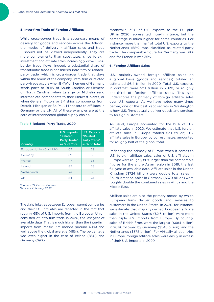#### **5. Intra-firm Trade of Foreign Affiliates**

While cross-border trade is a secondary means of delivery for goods and services across the Atlantic, the modes of delivery – affiliate sales and trade – should not be viewed independently. They are more complements than substitutes, since foreign investment and affiliate sales increasingly drive crossborder trade flows. Indeed, a substantial share of transatlantic trade is considered intra-firm or relatedparty trade, which is cross-border trade that stays within the ambit of the company. Intra-firm or related party-trade occurs when BMW or Siemens of Germany sends parts to BMW of South Carolina or Siemens of North Carolina; when Lafarge or Michelin send intermediate components to their Midwest plants, or when General Motors or 3M ships components from Detroit, Michigan or St. Paul, Minnesota to affiliates in Germany or the UK. All of these examples are at the core of interconnected global supply chains.

#### Table 5 Related-Party Trade, 2020

| <b>Country</b>            | U.S. Imports:<br>"Related<br><b>Party Trade"</b><br>as % of Total | <b>U.S. Exports:</b><br>"Related<br><b>Party Trade"</b><br>as % of Total |
|---------------------------|-------------------------------------------------------------------|--------------------------------------------------------------------------|
| European Union (incl. UK) | 65                                                                | 39                                                                       |
| Germany                   | 69                                                                | 38                                                                       |
| France                    | 47                                                                | 35                                                                       |
| Ireland                   | 85                                                                | 38                                                                       |
| <b>Netherlands</b>        | 74                                                                | 58                                                                       |
| UK                        | 54                                                                | 31                                                                       |

*Source: U.S. Census Bureau. Data as of January 2022.* 

The tight linkages between European parent companies and their U.S. affiliates are reflected in the fact that roughly 65% of U.S. imports from the European Union consisted of intra-firm trade in 2020, the last year of available data. That is much higher than the intra-firm imports from Pacific Rim nations (around 40%) and well above the global average (48%). The percentage was even higher in the case of Ireland (85%) and Germany (69%).

Meanwhile, 39% of U.S. exports to the EU plus UK in 2020 represented intra-firm trade, but the percentage is much higher for some countries. For instance, more than half of total U.S. exports to the Netherlands (58%) was classified as related-party trade. The comparable figure for Germany was 38% and for France it was 35%.

#### **6. Foreign Affiliate Sales**

U.S. majority-owned foreign affiliate sales on a global basis (goods and services) totaled an estimated \$6.4 trillion in 2020. Total U.S. exports, in contrast, were \$2.1 trillion in 2020, or roughly one-third of foreign affiliate sales. This gap underscores the primacy of foreign affiliate sales over U.S. exports. As we have noted many times before, one of the best kept secrets in Washington is how U.S. firms actually deliver goods and services to foreign customers.

As usual, Europe accounted for the bulk of U.S. affiliate sales in 2020. We estimate that U.S. foreign affiliate sales in Europe totaled \$3.1 trillion; U.S. affiliate sales in Europe, by our estimates, amounted for roughly half of the global total.

Reflecting the primacy of Europe when it comes to U.S. foreign affiliate sales, sales of U.S. affiliates in Europe were roughly 80% larger than the comparable figures for the entire Asian region in 2019, the last full year of available data. Affiliate sales in the United Kingdom (\$724 billion) were double total sales in South America. Sales in Germany (\$370 billion) were roughly double the combined sales in Africa and the Middle East.

Affiliate sales are also the primary means by which European firms deliver goods and services to customers in the United States. In 2020, for instance, we estimate that majority-owned European affiliate sales in the United States (\$2.6 trillion) were more than triple U.S. imports from Europe. By country, sales of British firms were the largest (\$684 billion) in 2019, followed by Germany (\$548 billion), and the Netherlands (\$378 billion). For virtually all countries in Europe, foreign affiliate sales were easily in excess of their U.S. imports in 2020.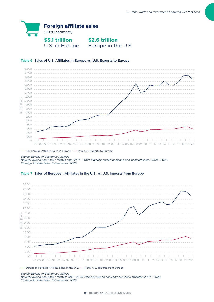

#### Table 6 Sales of U.S. Affiliates in Europe vs. U.S. Exports to Europe



- U.S. Foreign Affiliate Sales in Europe - Total U.S. Exports to Europe

*Source: Bureau of Economic Analysis. Majority-owned non-bank affiliates data: 1987 - 2008. Majority-owned bank and non-bank affiliates: 2009 - 2020. \*Foreign Affiliate Sales: Estimates for 2020.*

#### Table 7 Sales of European Affiliates in the U.S. vs. U.S. Imports from Europe



- European Foreign Affiliate Sales in the U.S. - Total U.S. Imports from Europe

*Source: Bureau of Economic Analysis*

*Majority-owned non-bank affiliates: 1987 - 2006. Majority-owned bank and non-bank affiliates: 2007 - 2020. \*Foreign Affiliate Sales: Estimates for 2020.*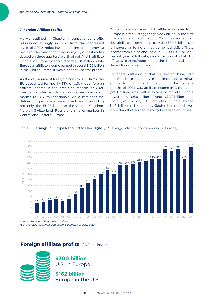#### **7. Foreign Affiliate Profits**

As we outlined in Chapter 1, transatlantic profits rebounded strongly in 2021 from the depressed levels of 2020, reflecting the healing and improving health of the transatlantic economy. By our estimates (based on three quarters' worth of data), U.S. affiliate income in Europe rose to a record \$300 billion, while European affiliate income earned a record \$162 billion in the United States. It was a banner year for profits.

As the key source of foreign profits for U.S. firms, the EU accounted for nearly 53% of U.S. global foreign affiliate income in the first nine months of 2021. Europe, in other words, remains a very important market to U.S. multinationals. As a reminder, we define Europe here in very broad terms, including not only the EU27 but also the United Kingdom, Norway, Switzerland, Russia and smaller markets in Central and Eastern Europe.

On comparative basis, U.S. affiliate income from Europe is simply staggering: \$225 billion in the first nine months of 2021, about 2.7 times more than U.S. affiliate income in all of Asia (\$82.8 billion). It is interesting to note that combined U.S. affiliate income from China and India in 2020 (\$14.3 billion), the last year of full data, was a fraction of what U.S. affiliates earned/reported in the Netherlands, the United Kingdom and Ireland.

Still, there is little doubt that the likes of China, India and Brazil are becoming more important earnings engines for U.S. firms. To this point, in the first nine months of 2021, U.S. affiliate income in China alone (\$9.9 billion) was well in excess of affiliate income in Germany (\$6.6 billion), France (\$2.7 billion), and Spain (\$2.9 billion). U.S. affiliates in India earned \$4.5 billion in the January-September period, well more than that earned in many European countries.

#### Table 8 Earnings in Europe Rebound to New Highs (U.S. foreign affiliate income earned in Europe)



*\*Data for 2021 is annualized using 3 quarters of 2021 data*

## **Foreign affiliate profits** (2021 estimate)

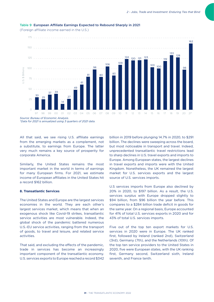

## Table 9 European Affiliate Earnings Expected to Rebound Sharply in 2021

(Foreign affiliate income earned in the U.S.)

*\*Data for 2021 is annualized using 3 quarters of 2021 data.*

All that said, we see rising U.S. affiliate earnings from the emerging markets as a complement, not a substitute, to earnings from Europe. The latter very much remains a key source of prosperity for corporate America.

Similarly, the United States remains the most important market in the world in terms of earnings for many European firms. For 2021, we estimate income of European affiliates in the United States hit a record \$162 billion.

#### **8. Transatlantic Services**

The United States and Europe are the largest services economies in the world. They are each other's largest services market, which means that when an exogenous shock like Covid-19 strikes, transatlantic service activities are most vulnerable. Indeed, the global shock of the pandemic battered numerous U.S.-EU service activities, ranging from the transport of goods, to travel and leisure, and related service activities.

That said, and excluding the effects of the pandemic, trade in services has become an increasingly important component of the transatlantic economy. U.S. services exports to Europe reached a record \$342

billion in 2019 before plunging 14.7% in 2020, to \$291 billion. The declines were sweeping across the board, but most noticeable in transport and travel. Indeed, unprecedented transatlantic travel restrictions lead to sharp declines in U.S. travel exports and imports to Europe. Among European states, the largest declines in travel exports and imports were with the United Kingdom. Nonetheless, the UK remained the largest market for U.S. services exports and the largest source of U.S. services imports.

U.S services imports from Europe also declined by 20% in 2020, to \$197 billion. As a result, the U.S. services surplus with Europe dropped slightly to \$94 billion, from \$96 billion the year before. This compares to a \$284 billion trade deficit in goods for the same year. On a regional basis, Europe accounted for 41% of total U.S. services exports in 2020 and for 43% of total U.S. services imports.

Five out of the top ten export markets for U.S. services in 2020 were in Europe. The UK ranked first, followed by Ireland (ranked 2nd), Switzerland (3rd), Germany (7th), and the Netherlands (10th). Of the top ten service providers to the United States in 2020, five were European states, with the UK ranking first, Germany second, Switzerland sixth, Ireland seventh, and France tenth.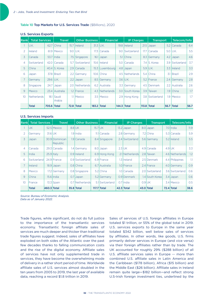#### Table 10 Top Markets for U.S. Services Trade (\$Billions), 2020

#### U.S. Services Exports

| <b>Rankl</b>  | <b>Total Services</b> |       | <b>Travel</b>   |                  | <b>Other Business</b> |             |                  | <b>Financial</b><br><b>IP Charges</b><br><b>Transport</b> |                    |  |                 |                  | Telecom/Info       |      |
|---------------|-----------------------|-------|-----------------|------------------|-----------------------|-------------|------------------|-----------------------------------------------------------|--------------------|--|-----------------|------------------|--------------------|------|
|               | U.K.                  | 62.7  | China           | 15.7             | <b>Ireland</b>        |             | 31.3 IU.K.       |                                                           | 19.8 Ireland       |  | $21.5$ Japan    |                  | 5.2 Canada         | 6.4  |
| $\mathcal{P}$ | Ireland               | 61.9  | Mexico          | 9.0              | IU.K.                 | 17.3        | <b>Canada</b>    | 9.0                                                       | Switzerland        |  | 17.7   Canada   | 5.0              | IU.K.              | 5.5  |
| 3             | Canada                | 53.7  | India           | 7.5              | Singapore             |             | 16.1 Japan       | 5.1                                                       | <b>IChina</b>      |  | 8.3 Germany     | 4.2              | Japan              | 4.6  |
| 4             | Switzerland           | 42.0  | Canada          | 5.7              | Switzerland           |             | 15.6 Ireland     | 5.0                                                       | <i>Canada</i>      |  | 7.4 S. Korea    | 3.9              | <b>Switzerland</b> | 3.7  |
| 5             | China                 |       | 40.4 S. Korea   | 2.9              | l Canada              |             | 15.3 Luxembourg  | 4.8                                                       | <b>Japan</b>       |  | $5.9$ IU.K.     |                  | 3.3 Ireland        | 3.3  |
| 6             | Japan                 |       | 37.8 Brazil     | $2.2\phantom{0}$ | Germany               |             | 10.6 China       | 4.5                                                       | Netherlands        |  | 5.4 China       |                  | 3.1 Brazil         | 2.9  |
|               | Germany               | 29.6  | U.K.            | $2.2^{\circ}$    | Japan                 | 8.5         | Germany          |                                                           | $3.6$ IU.K.        |  | 5.2 France      |                  | 2.4 Germany        | 2.8  |
| 8             | Singapore             | 24.7  | <b>Japan</b>    | 2.0              | Netherlands           |             | 6.2 Australia    | 3.3                                                       | <b>IGermany</b>    |  | 4.5 Denmark     | 2.2              | l Australia        | 2.6  |
| 9             | <b>Mexico</b>         |       | 23.4 Australia  |                  | 1.2 France            |             | 4.3 INetherlands | 3.0                                                       | <b>South Korea</b> |  | 3.9 Taiwan      | 1.9 <sup>°</sup> | <b>IChina</b>      | 1.7  |
| 10            | <b>Netherlands</b>    | 18.1  | Saudi<br>Arabia |                  | 1.1 Mexico            |             | 3.5   Mexico     |                                                           | 2.9 Hong Kong      |  | 3.8 Switzerland |                  | 1.9  Mexico        | 1.7  |
|               | <b>Total</b>          | 705.6 | Total           |                  | $72.8$ Total          | 183.2 Total |                  | 144.3 Total                                               |                    |  | 113.8 Total     |                  | <b>56.7 Total</b>  | 56.7 |

#### U.S. Services Imports

| lRankl | <b>Total Services</b> |             | <b>Travel</b>              |                  | <b>Other Business</b> |         | <b>Financial</b> | <b>IP Charges</b> | <b>Transport</b> |                 | Telecom/Info    |      |
|--------|-----------------------|-------------|----------------------------|------------------|-----------------------|---------|------------------|-------------------|------------------|-----------------|-----------------|------|
|        | <b>UK</b>             |             | 52.5 Mexico                |                  | 8.8 UK                | 15.7 UK |                  | $13.2$ Japan      |                  | 8.0 Japan       | 7.0 India       | 11.9 |
| 2      | Germany               | 31.6 UK     |                            |                  | 1.9 India             |         | 11.1 Canada      | 2.8 Germany       |                  | 7.2 China       | 5.3 Canada      | 5.9  |
| 3      | Japan                 |             | 30.9 Dominican<br>Republic |                  | 1.9 Canada            |         | 8.4 Singapore    | 2.4 Switzerland   |                  | 5.6 Germany     | 5.2 Ireland     | 5.5  |
| 4      | Canada                |             | 29.3 Canada                |                  | 1.4 Germany           |         | 8.0 Japan        | $2.3$ UK          |                  | 4.9 Canada      | $4.9$ UK        | 3.3  |
| 5      | India                 |             | $25.9$ Italy               |                  | 0.9 Ireland           |         | 6.9 Hong Kong    | 2.1 Netherlands   |                  | 2.8 Taiwan      | 4.6 Netherlands | 1.2  |
| 6      | Switzerland           |             | 24.9 France                |                  | 0.9 Switzerland       |         | 6.9 France       | 1.3 Ireland       |                  | 2.5 Denmark     | 4.4 Philippines | 11   |
|        | Ireland               |             | 18.9 Japan                 |                  | 0.8 China             |         | 6.7 Australia    | 1.0 France        |                  | 2.4 France      | 4.0 Germany     | 0.9  |
| 8      | <b>Mexico</b>         |             | 17.2 Germany               |                  | 0.8 Singapore         |         | 5.2 China        | 1.0 Canada        |                  | 2.0 Switzerland | 3.6 Switzerland | 0.6  |
| 9      | China                 |             | 15.6 India                 | 0.7 <sub>l</sub> | Japan                 |         | 5.2 Germany      | 0.9 Denmark       |                  | 1.4 South Korea | 3.4 Japan       | 0.6  |
| 10     | France                |             | $13.3$ Spain               |                  | 0.7 Netherlands       |         | 5.1 Switzerland  | 0.7 India         |                  | $0.9$ UK        | 3.4 Mexico      | 0.5  |
|        | <b>Total</b>          | 460.3 Total |                            |                  | 35.8 Total            |         | 117.7 Total      | $42.3$ Total      |                  | 43.0 Total      | 72.4 Total      | 38.6 |

*Source: Bureau of Economic Analysis. Data as of January 2022.*

Trade figures, while significant, do not do full justice to the importance of the transatlantic services economy. Transatlantic foreign affiliate sales of services are much deeper and thicker than traditional trade figures suggest. Indeed, sales of affiliates have exploded on both sides of the Atlantic over the past few decades thanks to falling communication costs and the rise of the digital economy. Affiliate sales of services have not only supplemented trade in services, they have become the overwhelming mode of delivery in a rather short period of time. Worldwide affiliate sales of U.S. services almost doubled in the ten years from 2005 to 2019, the last year of available data, reaching a record \$1.8 trillion in 2019.

Sales of services of U.S. foreign affiliates in Europe totaled \$1 trillion, or 55% of the global total in 2019. U.S. services exports to Europe in the same year totaled \$342 billion, well below sales of services by affiliates. In other words, like goods, U.S. firms primarily deliver services in Europe (and vice versa) via their foreign affiliates rather than by trade. The UK accounted for roughly 29% (\$288 billion) of all U.S. affiliate services sales in Europe -- more than combined U.S. affiliate sales in Latin America and the Caribbean (\$178 billion), Africa (\$15 billion) and the Middle East (\$26 billion). Affiliate sales in Ireland remain quite large—\$182 billion—and reflect strong U.S-Irish foreign investment ties, underlined by the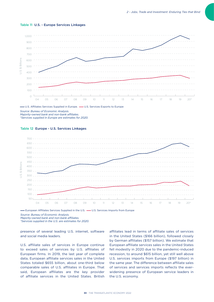

#### Table 11 U.S. - Europe Services Linkages

- U.S. Affiliates Services Supplied in Europe. - U.S. Services Exports to Europe

*Source: Bureau of Economic Analysis.*

*Majority-owned bank and non-bank affiliates.* 

*\*Services supplied in Europe are estimates for 2020.*





- European Affiliates Services Supplied in the U.S. - U.S. Services Imports from Europe

*Source: Bureau of Economic Analysis.*

*Majority-owned bank and non-bank affiliates.* 

*\*Services supplied in the U.S. are estimates for 2020.*

presence of several leading U.S. internet, software and social media leaders.

U.S. affiliate sales of services in Europe continue to exceed sales of services by U.S. affiliates of European firms. In 2019, the last year of complete data, European affiliate services sales in the United States totaled \$655 billion, about one-third below comparable sales of U.S. affiliates in Europe. That said, European affiliates are the key provider of affiliate services in the United States. British

affiliates lead in terms of affiliate sales of services in the United States (\$166 billion), followed closely by German affiliates (\$157 billion). We estimate that European affiliate services sales in the United States fell modestly in 2020 due to the pandemic-induced recession, to around \$615 billion, yet still well above U.S. services imports from Europe (\$197 billion) in the same year. The difference between affiliate sales of services and services imports reflects the everwidening presence of European service leaders in the U.S. economy.